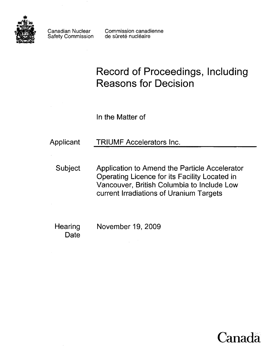

Safety Commission

Canadian Nuclear Commission canadienne<br>Safety Commission de sûreté nucléaire

# **Record of Proceedings, Including Reasons for Decision**

In the Matter of

# Applicant TRIUMF Accelerators Inc.

Subject Application to Amend the Particle Accelerator Operating Licence for its Facility Located in Vancouver, British Columbia to Include Low current Irradiations of Uranium Targets

**Date** 

Hearing November 19, 2009

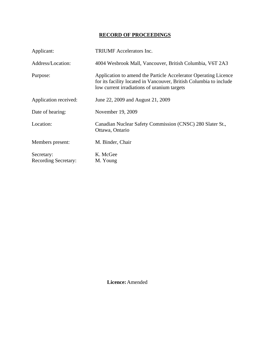## **RECORD OF PROCEEDINGS**

| Applicant:                                | <b>TRIUMF</b> Accelerators Inc.                                                                                                                                                      |
|-------------------------------------------|--------------------------------------------------------------------------------------------------------------------------------------------------------------------------------------|
| Address/Location:                         | 4004 Wesbrook Mall, Vancouver, British Columbia, V6T 2A3                                                                                                                             |
| Purpose:                                  | Application to amend the Particle Accelerator Operating Licence<br>for its facility located in Vancouver, British Columbia to include<br>low current irradiations of uranium targets |
| Application received:                     | June 22, 2009 and August 21, 2009                                                                                                                                                    |
| Date of hearing:                          | November 19, 2009                                                                                                                                                                    |
| Location:                                 | Canadian Nuclear Safety Commission (CNSC) 280 Slater St.,<br>Ottawa, Ontario                                                                                                         |
| Members present:                          | M. Binder, Chair                                                                                                                                                                     |
| Secretary:<br><b>Recording Secretary:</b> | K. McGee<br>M. Young                                                                                                                                                                 |

 **Licence:** Amended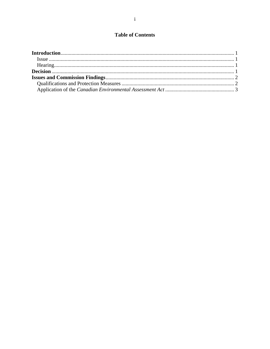### **Table of Contents**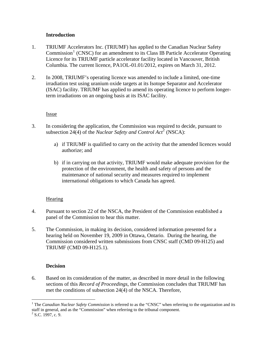#### **Introduction**

- <span id="page-3-0"></span>1. TRIUMF Accelerators Inc. (TRIUMF) has applied to the Canadian Nuclear Safety Commission<sup>[1](#page-3-1)</sup> (CNSC) for an amendment to its Class IB Particle Accelerator Operating Licence for its TRIUMF particle accelerator facility located in Vancouver, British Columbia. The current licence, PA1OL-01.01/2012, expires on March 31, 2012.
- 2. In 2008, TRIUMF's operating licence was amended to include a limited, one-time irradiation test using uranium oxide targets at its Isotope Separator and Accelerator (ISAC) facility. TRIUMF has applied to amend its operating licence to perform longerterm irradiations on an ongoing basis at its ISAC facility.

**Issue** 

- 3. In considering the application, the Commission was required to decide, pursuant to subsection [2](#page-3-2)4(4) of the *Nuclear Safety and Control Act*<sup>2</sup> (NSCA):
	- a) if TRIUMF is qualified to carry on the activity that the amended licences would authorize; and
	- b) if in carrying on that activity, TRIUMF would make adequate provision for the protection of the environment, the health and safety of persons and the maintenance of national security and measures required to implement international obligations to which Canada has agreed.

#### Hearing

- 4. Pursuant to section 22 of the NSCA, the President of the Commission established a panel of the Commission to hear this matter.
- 5. The Commission, in making its decision, considered information presented for a hearing held on November 19, 2009 in Ottawa, Ontario. During the hearing, the Commission considered written submissions from CNSC staff (CMD 09-H125) and TRIUMF (CMD 09-H125.1).

#### **Decision**

6. Based on its consideration of the matter, as described in more detail in the following sections of this *Record of Proceedings*, the Commission concludes that TRIUMF has met the conditions of subsection 24(4) of the NSCA. Therefore,

 $\overline{a}$ 

<span id="page-3-1"></span><sup>&</sup>lt;sup>1</sup> The *Canadian Nuclear Safety Commission* is referred to as the "CNSC" when referring to the organization and its staff in general, and as the "Commission" when referring to the tribunal component.

<span id="page-3-2"></span> $2$  S.C. 1997, c. 9.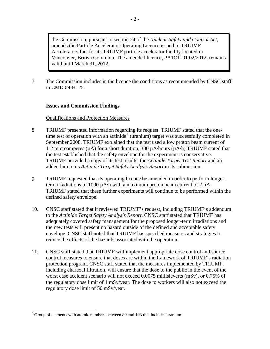<span id="page-4-0"></span>the Commission, pursuant to section 24 of the *Nuclear Safety and Control Act*, amends the Particle Accelerator Operating Licence issued to TRIUMF Accelerators Inc. for its TRIUMF particle accelerator facility located in Vancouver, British Columbia. The amended licence, PA1OL-01.02/2012, remains valid until March 31, 2012.

7. The Commission includes in the licence the conditions as recommended by CNSC staff in CMD 09-H125.

#### **Issues and Commission Findings**

#### Qualifications and Protection Measures

- 8. TRIUMF presented information regarding its request. TRIUMF stated that the one-time test of operation with an actinide<sup>[3](#page-4-1)</sup> (uranium) target was successfully completed in September 2008. TRIUMF explained that the test used a low proton beam current of 1-2 microamperes  $(\mu A)$  for a short duration, 300  $\mu A$ -hours  $(\mu A \cdot h)$ .TRIUMF stated that the test established that the safety envelope for the experiment is conservative. TRIUMF provided a copy of its test results, the *Actinide Target Test Report* and an addendum to its *Actinide Target Safety Analysis Report* in its submission.
- 9. TRIUMF requested that its operating licence be amended in order to perform longerterm irradiations of 1000  $\mu$ A·h with a maximum proton beam current of 2  $\mu$ A. TRIUMF stated that these further experiments will continue to be performed within the defined safety envelope.
- 10. CNSC staff stated that it reviewed TRIUMF's request, including TRIUMF's addendum to the *Actinide Target Safety Analysis Report*. CNSC staff stated that TRIUMF has adequately covered safety management for the proposed longer-term irradiations and the new tests will present no hazard outside of the defined and acceptable safety envelope. CNSC staff noted that TRIUMF has specified measures and strategies to reduce the effects of the hazards associated with the operation.
- 11. CNSC staff stated that TRIUMF will implement appropriate dose control and source control measures to ensure that doses are within the framework of TRIUMF's radiation protection program. CNSC staff stated that the measures implemented by TRIUMF, including charcoal filtration, will ensure that the dose to the public in the event of the worst case accident scenario will not exceed 0.0075 millisieverts (mSv), or 0.75% of the regulatory dose limit of 1 mSv/year. The dose to workers will also not exceed the regulatory dose limit of 50 mSv/year.

 $\overline{a}$ 

<span id="page-4-1"></span> $3$  Group of elements with atomic numbers between 89 and 103 that includes uranium.